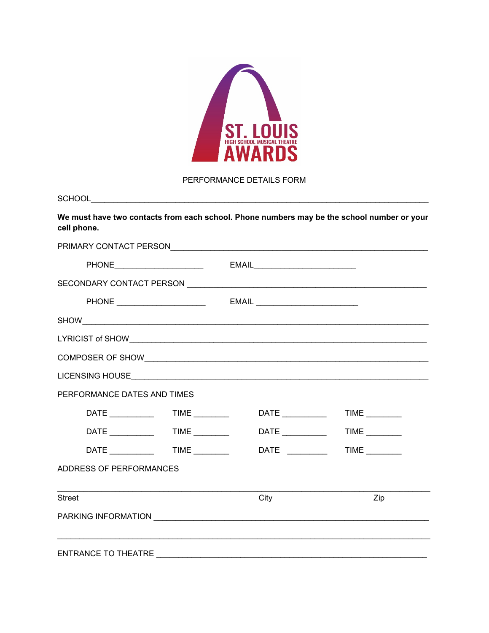

## PERFORMANCE DETAILS FORM

| <b>SCHOOL</b> |  |
|---------------|--|
|               |  |

We must have two contacts from each school. Phone numbers may be the school number or your cell phone.

| PERFORMANCE DATES AND TIMES          |             |           |  |
|--------------------------------------|-------------|-----------|--|
| DATE ______________  TIME __________ |             |           |  |
| DATE TIME                            |             | DATE TIME |  |
| DATE ______________  TIME _________  | DATE $\_\_$ | TIME      |  |
| ADDRESS OF PERFORMANCES              |             |           |  |
| <b>Street</b>                        | City        | Zip       |  |
|                                      |             |           |  |
| ENTRANCE TO THEATRE                  |             |           |  |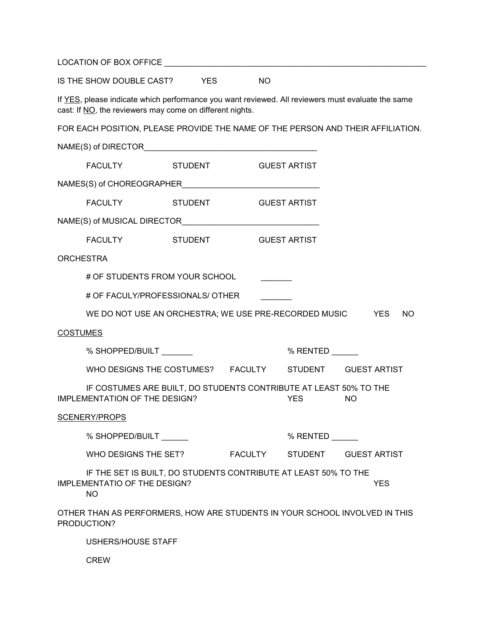|                  | IS THE SHOW DOUBLE CAST? YES                                                                                                                                  |                | <b>NO</b> |                     |                                                                                 |
|------------------|---------------------------------------------------------------------------------------------------------------------------------------------------------------|----------------|-----------|---------------------|---------------------------------------------------------------------------------|
|                  | If YES, please indicate which performance you want reviewed. All reviewers must evaluate the same<br>cast: If NO, the reviewers may come on different nights. |                |           |                     |                                                                                 |
|                  |                                                                                                                                                               |                |           |                     | FOR EACH POSITION, PLEASE PROVIDE THE NAME OF THE PERSON AND THEIR AFFILIATION. |
|                  |                                                                                                                                                               |                |           |                     |                                                                                 |
|                  | FACULTY STUDENT                                                                                                                                               |                |           | <b>GUEST ARTIST</b> |                                                                                 |
|                  |                                                                                                                                                               |                |           |                     |                                                                                 |
|                  | <b>FACULTY EXAMPLE 19</b>                                                                                                                                     | <b>STUDENT</b> |           | <b>GUEST ARTIST</b> |                                                                                 |
|                  |                                                                                                                                                               |                |           |                     |                                                                                 |
|                  | FACULTY STUDENT                                                                                                                                               |                |           | <b>GUEST ARTIST</b> |                                                                                 |
| <b>ORCHESTRA</b> |                                                                                                                                                               |                |           |                     |                                                                                 |
|                  | # OF STUDENTS FROM YOUR SCHOOL                                                                                                                                |                |           |                     |                                                                                 |
|                  | # OF FACULY/PROFESSIONALS/ OTHER                                                                                                                              |                |           |                     |                                                                                 |
|                  | WE DO NOT USE AN ORCHESTRA; WE USE PRE-RECORDED MUSIC YES                                                                                                     |                |           |                     | NO.                                                                             |
| <b>COSTUMES</b>  |                                                                                                                                                               |                |           |                     |                                                                                 |
|                  | % SHOPPED/BUILT                                                                                                                                               |                |           | $%$ RENTED          |                                                                                 |
|                  | WHO DESIGNS THE COSTUMES? FACULTY STUDENT GUEST ARTIST                                                                                                        |                |           |                     |                                                                                 |
|                  | IF COSTUMES ARE BUILT, DO STUDENTS CONTRIBUTE AT LEAST 50% TO THE<br><b>IMPLEMENTATION OF THE DESIGN?</b>                                                     |                |           | <b>YES</b>          | <b>NO</b>                                                                       |
|                  | SCENERY/PROPS                                                                                                                                                 |                |           |                     |                                                                                 |
|                  | % SHOPPED/BUILT                                                                                                                                               |                |           | % RENTED            |                                                                                 |
|                  | WHO DESIGNS THE SET?                                                                                                                                          |                |           | FACULTY STUDENT     | <b>GUEST ARTIST</b>                                                             |
|                  | IF THE SET IS BUILT, DO STUDENTS CONTRIBUTE AT LEAST 50% TO THE<br><b>IMPLEMENTATIO OF THE DESIGN?</b><br><b>NO</b>                                           |                |           |                     | <b>YES</b>                                                                      |
|                  | OTHER THAN AS PERFORMERS, HOW ARE STUDENTS IN YOUR SCHOOL INVOLVED IN THIS<br>PRODUCTION?                                                                     |                |           |                     |                                                                                 |
|                  | USHERS/HOUSE STAFF                                                                                                                                            |                |           |                     |                                                                                 |

CREW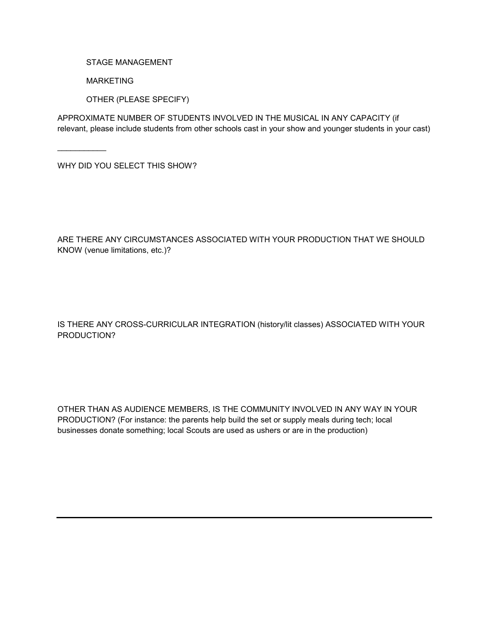STAGE MANAGEMENT

MARKETING

OTHER (PLEASE SPECIFY)

APPROXIMATE NUMBER OF STUDENTS INVOLVED IN THE MUSICAL IN ANY CAPACITY (if relevant, please include students from other schools cast in your show and younger students in your cast)

WHY DID YOU SELECT THIS SHOW?

\_\_\_\_\_\_\_\_\_\_\_

ARE THERE ANY CIRCUMSTANCES ASSOCIATED WITH YOUR PRODUCTION THAT WE SHOULD KNOW (venue limitations, etc.)?

## IS THERE ANY CROSS-CURRICULAR INTEGRATION (history/lit classes) ASSOCIATED WITH YOUR PRODUCTION?

OTHER THAN AS AUDIENCE MEMBERS, IS THE COMMUNITY INVOLVED IN ANY WAY IN YOUR PRODUCTION? (For instance: the parents help build the set or supply meals during tech; local businesses donate something; local Scouts are used as ushers or are in the production)